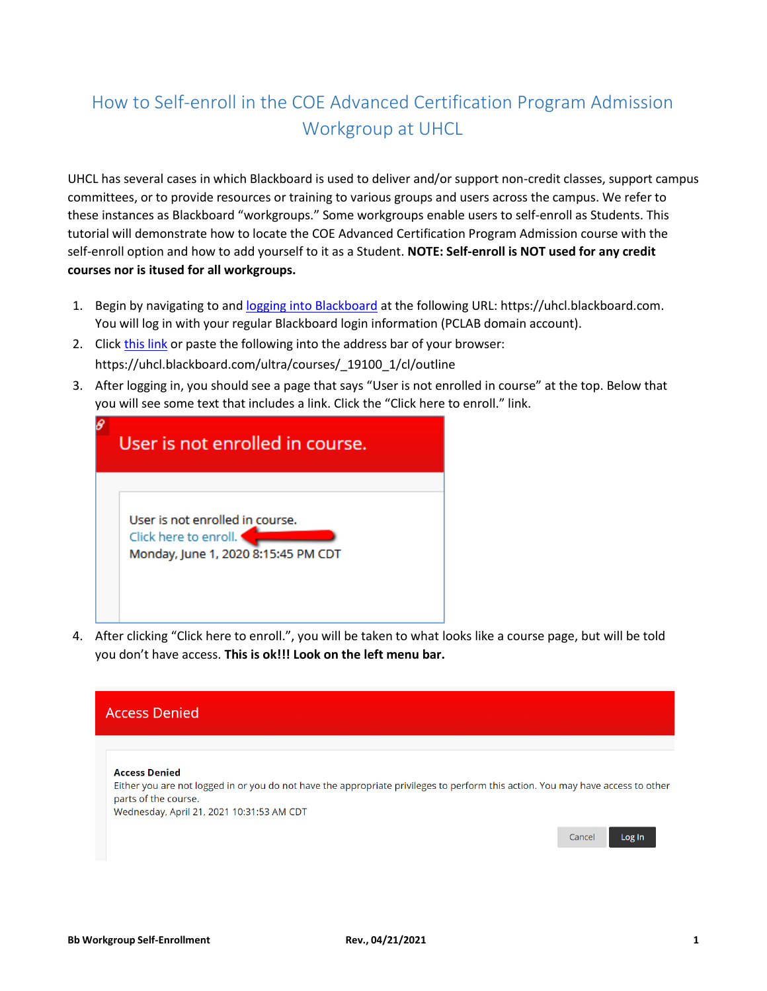## How to Self-enroll in the COE Advanced Certification Program Admission Workgroup at UHCL

UHCL has several cases in which Blackboard is used to deliver and/or support non-credit classes, support campus committees, or to provide resources or training to various groups and users across the campus. We refer to these instances as Blackboard "workgroups." Some workgroups enable users to self-enroll as Students. This tutorial will demonstrate how to locate the COE Advanced Certification Program Admission course with the self-enroll option and how to add yourself to it as a Student. **NOTE: Self-enroll is NOT used for any credit courses nor is itused for all workgroups.**

- 1. Begin by navigating to an[d logging into Blackboard](https://uhcl.blackboard.com/webapps/blackboard/execute/courseMain?course_id=_19098_1) at the following URL: https://uhcl.blackboard.com. You will log in with your regular Blackboard login information (PCLAB domain account).
- 2. Click [this link](https://uhcl.blackboard.com/ultra/courses/_19100_1/cl/outline) or paste the following into the address bar of your browser: https://uhcl.blackboard.com/ultra/courses/\_19100\_1/cl/outline
- 3. After logging in, you should see a page that says "User is not enrolled in course" at the top. Below that you will see some text that includes a link. Click the "Click here to enroll." link.

| User is not enrolled in course.                                                                 |
|-------------------------------------------------------------------------------------------------|
| User is not enrolled in course.<br>Click here to enroll.<br>Monday, June 1, 2020 8:15:45 PM CDT |

4. After clicking "Click here to enroll.", you will be taken to what looks like a course page, but will be told you don't have access. **This is ok!!! Look on the left menu bar.**